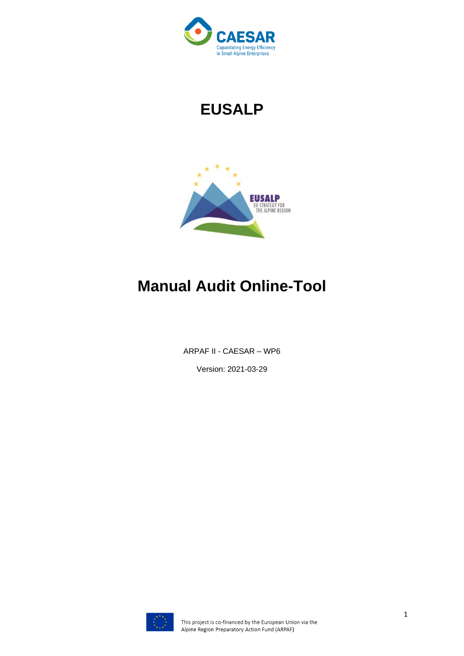

# **EUSALP**



## **Manual Audit Online-Tool**

ARPAF II - CAESAR – WP6

Version: 2021-03-29

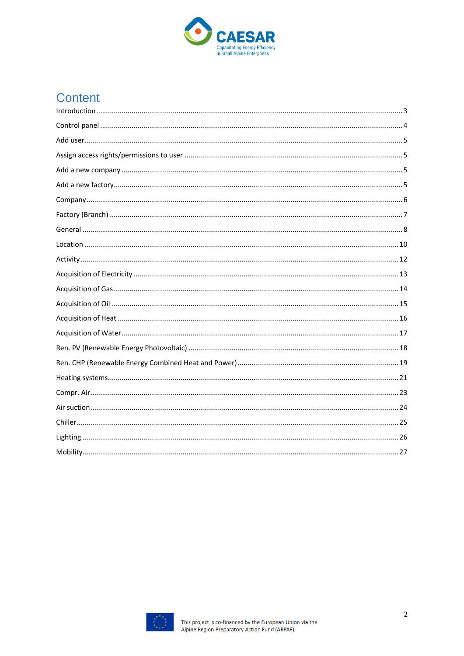

## Content

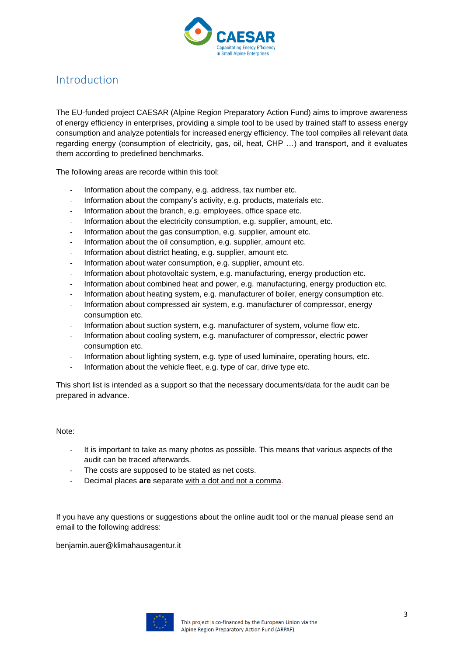

#### <span id="page-2-0"></span>Introduction

The EU-funded project CAESAR (Alpine Region Preparatory Action Fund) aims to improve awareness of energy efficiency in enterprises, providing a simple tool to be used by trained staff to assess energy consumption and analyze potentials for increased energy efficiency. The tool compiles all relevant data regarding energy (consumption of electricity, gas, oil, heat, CHP …) and transport, and it evaluates them according to predefined benchmarks.

The following areas are recorde within this tool:

- Information about the company, e.g. address, tax number etc.
- Information about the company's activity, e.g. products, materials etc.
- Information about the branch, e.g. employees, office space etc.
- Information about the electricity consumption, e.g. supplier, amount, etc.
- Information about the gas consumption, e.g. supplier, amount etc.
- Information about the oil consumption, e.g. supplier, amount etc.
- Information about district heating, e.g. supplier, amount etc.
- Information about water consumption, e.g. supplier, amount etc.
- Information about photovoltaic system, e.g. manufacturing, energy production etc.
- Information about combined heat and power, e.g. manufacturing, energy production etc.
- Information about heating system, e.g. manufacturer of boiler, energy consumption etc.
- Information about compressed air system, e.g. manufacturer of compressor, energy consumption etc.
- Information about suction system, e.g. manufacturer of system, volume flow etc.
- Information about cooling system, e.g. manufacturer of compressor, electric power consumption etc.
- Information about lighting system, e.g. type of used luminaire, operating hours, etc.
- Information about the vehicle fleet, e.g. type of car, drive type etc.

This short list is intended as a support so that the necessary documents/data for the audit can be prepared in advance.

#### Note:

- It is important to take as many photos as possible. This means that various aspects of the audit can be traced afterwards.
- The costs are supposed to be stated as net costs.
- Decimal places are separate with a dot and not a comma.

If you have any questions or suggestions about the online audit tool or the manual please send an email to the following address:

benjamin.auer@klimahausagentur.it

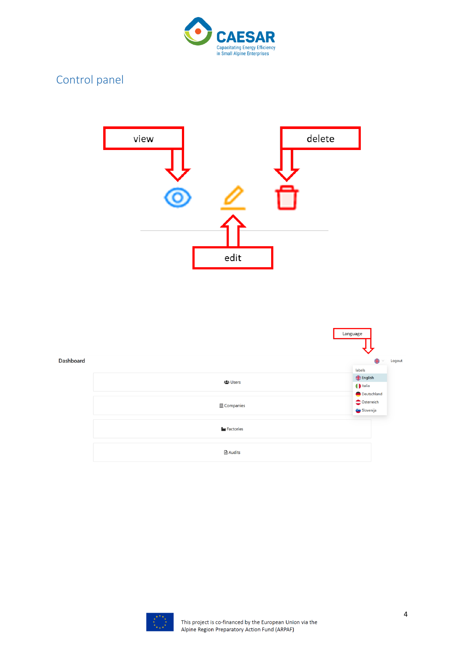

### <span id="page-3-0"></span>Control panel





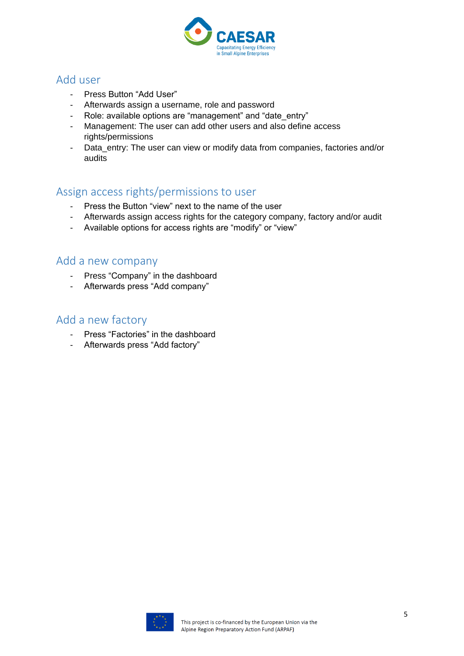

#### <span id="page-4-0"></span>Add user

- Press Button "Add User"
- Afterwards assign a username, role and password
- Role: available options are "management" and "date entry"
- Management: The user can add other users and also define access rights/permissions
- Data\_entry: The user can view or modify data from companies, factories and/or audits

#### <span id="page-4-1"></span>Assign access rights/permissions to user

- Press the Button "view" next to the name of the user
- Afterwards assign access rights for the category company, factory and/or audit
- Available options for access rights are "modify" or "view"

#### <span id="page-4-2"></span>Add a new company

- Press "Company" in the dashboard
- Afterwards press "Add company"

#### <span id="page-4-3"></span>Add a new factory

- Press "Factories" in the dashboard
- Afterwards press "Add factory"

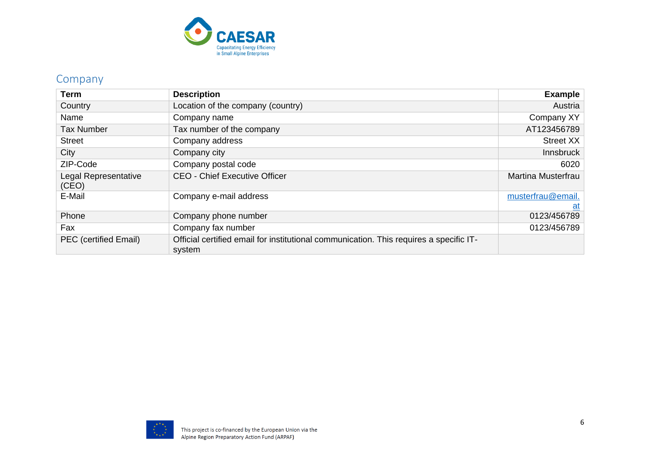

#### Company

<span id="page-5-0"></span>

| Term                          | <b>Description</b>                                                                               | <b>Example</b>            |
|-------------------------------|--------------------------------------------------------------------------------------------------|---------------------------|
| Country                       | Location of the company (country)                                                                | Austria                   |
| Name                          | Company name                                                                                     | Company XY                |
| <b>Tax Number</b>             | Tax number of the company                                                                        | AT123456789               |
| <b>Street</b>                 | Company address                                                                                  | <b>Street XX</b>          |
| City                          | Company city                                                                                     | <b>Innsbruck</b>          |
| ZIP-Code                      | Company postal code                                                                              | 6020                      |
| Legal Representative<br>(CEO) | <b>CEO - Chief Executive Officer</b>                                                             | <b>Martina Musterfrau</b> |
| E-Mail                        | Company e-mail address                                                                           | musterfrau@email.<br>at   |
| Phone                         | Company phone number                                                                             | 0123/456789               |
| Fax                           | Company fax number                                                                               | 0123/456789               |
| PEC (certified Email)         | Official certified email for institutional communication. This requires a specific IT-<br>system |                           |

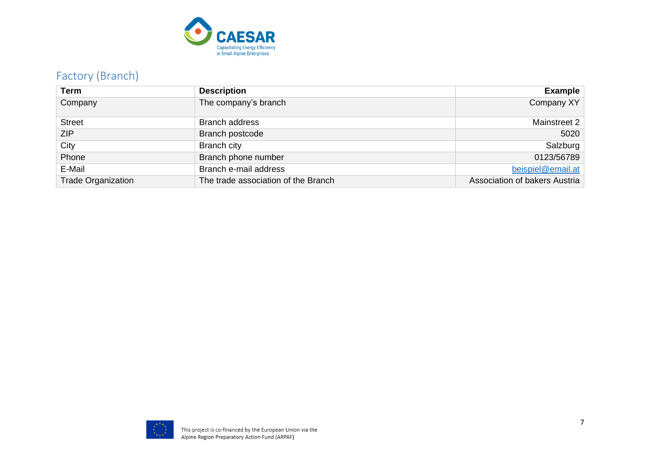

### Factory (Branch)

<span id="page-6-0"></span>

| Term                      | <b>Description</b>                  | <b>Example</b>                |
|---------------------------|-------------------------------------|-------------------------------|
| Company                   | The company's branch                | Company XY                    |
| <b>Street</b>             | <b>Branch address</b>               | Mainstreet 2                  |
| <b>ZIP</b>                | Branch postcode                     | 5020                          |
| City                      | <b>Branch city</b>                  | Salzburg                      |
| Phone                     | Branch phone number                 | 0123/56789                    |
| E-Mail                    | Branch e-mail address               | beispiel@email.at             |
| <b>Trade Organization</b> | The trade association of the Branch | Association of bakers Austria |

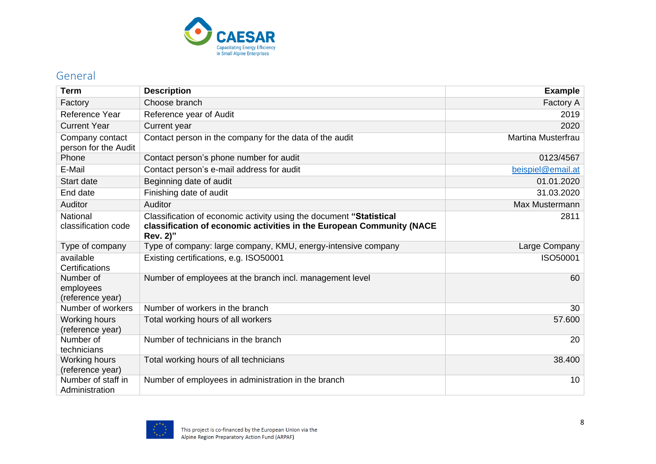

#### General

<span id="page-7-0"></span>

| <b>Term</b>                                | <b>Description</b>                                                                                                                                       | <b>Example</b>            |
|--------------------------------------------|----------------------------------------------------------------------------------------------------------------------------------------------------------|---------------------------|
| Factory                                    | Choose branch                                                                                                                                            | Factory A                 |
| Reference Year                             | Reference year of Audit                                                                                                                                  | 2019                      |
| <b>Current Year</b>                        | Current year                                                                                                                                             | 2020                      |
| Company contact<br>person for the Audit    | Contact person in the company for the data of the audit                                                                                                  | <b>Martina Musterfrau</b> |
| Phone                                      | Contact person's phone number for audit                                                                                                                  | 0123/4567                 |
| E-Mail                                     | Contact person's e-mail address for audit                                                                                                                | beispiel@email.at         |
| <b>Start date</b>                          | Beginning date of audit                                                                                                                                  | 01.01.2020                |
| End date                                   | Finishing date of audit                                                                                                                                  | 31.03.2020                |
| Auditor                                    | Auditor                                                                                                                                                  | Max Mustermann            |
| National<br>classification code            | Classification of economic activity using the document "Statistical<br>classification of economic activities in the European Community (NACE<br>Rev. 2)" | 2811                      |
| Type of company                            | Type of company: large company, KMU, energy-intensive company                                                                                            | Large Company             |
| available<br>Certifications                | Existing certifications, e.g. ISO50001                                                                                                                   | ISO50001                  |
| Number of<br>employees<br>(reference year) | Number of employees at the branch incl. management level                                                                                                 | 60                        |
| Number of workers                          | Number of workers in the branch                                                                                                                          | 30                        |
| Working hours<br>(reference year)          | Total working hours of all workers                                                                                                                       | 57.600                    |
| Number of<br>technicians                   | Number of technicians in the branch                                                                                                                      | 20                        |
| <b>Working hours</b><br>(reference year)   | Total working hours of all technicians                                                                                                                   | 38.400                    |
| Number of staff in<br>Administration       | Number of employees in administration in the branch                                                                                                      | 10                        |

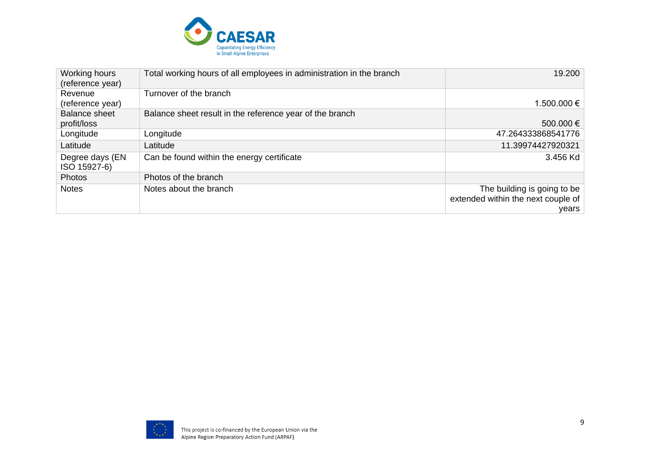

| Working hours<br>(reference year) | Total working hours of all employees in administration in the branch | 19.200                             |
|-----------------------------------|----------------------------------------------------------------------|------------------------------------|
| Revenue                           | Turnover of the branch                                               |                                    |
| (reference year)                  |                                                                      | 1.500.000 €                        |
| <b>Balance sheet</b>              | Balance sheet result in the reference year of the branch             |                                    |
| profit/loss                       |                                                                      | 500.000 €                          |
| Longitude                         | Longitude                                                            | 47.264333868541776                 |
| Latitude                          | Latitude                                                             | 11.39974427920321                  |
| Degree days (EN<br>ISO 15927-6)   | Can be found within the energy certificate                           | 3.456 Kd                           |
| Photos                            | Photos of the branch                                                 |                                    |
| <b>Notes</b>                      | Notes about the branch                                               | The building is going to be        |
|                                   |                                                                      | extended within the next couple of |
|                                   |                                                                      | years                              |

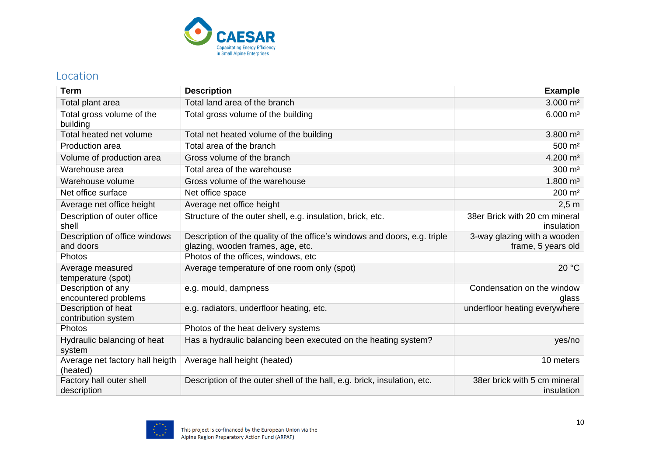

#### Location

<span id="page-9-0"></span>

| <b>Term</b>                                 | <b>Description</b>                                                        | <b>Example</b>                              |
|---------------------------------------------|---------------------------------------------------------------------------|---------------------------------------------|
| Total plant area                            | Total land area of the branch                                             | $3.000 \; \text{m}^2$                       |
| Total gross volume of the<br>building       | Total gross volume of the building                                        | $6.000 \; \text{m}^3$                       |
| Total heated net volume                     | Total net heated volume of the building                                   | $3.800 \text{ m}^3$                         |
| Production area                             | Total area of the branch                                                  | 500 m <sup>2</sup>                          |
| Volume of production area                   | Gross volume of the branch                                                | $4.200 \text{ m}^3$                         |
| Warehouse area                              | Total area of the warehouse                                               | 300 m <sup>3</sup>                          |
| Warehouse volume                            | Gross volume of the warehouse                                             | $1.800 \; \text{m}^3$                       |
| Net office surface                          | Net office space                                                          | $200 \; \text{m}^2$                         |
| Average net office height                   | Average net office height                                                 | $2,5$ m                                     |
| Description of outer office<br>shell        | Structure of the outer shell, e.g. insulation, brick, etc.                | 38er Brick with 20 cm mineral<br>insulation |
| Description of office windows               | Description of the quality of the office's windows and doors, e.g. triple | 3-way glazing with a wooden                 |
| and doors                                   | glazing, wooden frames, age, etc.                                         | frame, 5 years old                          |
| Photos                                      | Photos of the offices, windows, etc                                       |                                             |
| Average measured<br>temperature (spot)      | Average temperature of one room only (spot)                               | 20 °C                                       |
| Description of any<br>encountered problems  | e.g. mould, dampness                                                      | Condensation on the window<br>glass         |
| Description of heat<br>contribution system  | e.g. radiators, underfloor heating, etc.                                  | underfloor heating everywhere               |
| Photos                                      | Photos of the heat delivery systems                                       |                                             |
| Hydraulic balancing of heat<br>system       | Has a hydraulic balancing been executed on the heating system?            | yes/no                                      |
| Average net factory hall heigth<br>(heated) | Average hall height (heated)                                              | 10 meters                                   |
| Factory hall outer shell<br>description     | Description of the outer shell of the hall, e.g. brick, insulation, etc.  | 38er brick with 5 cm mineral<br>insulation  |

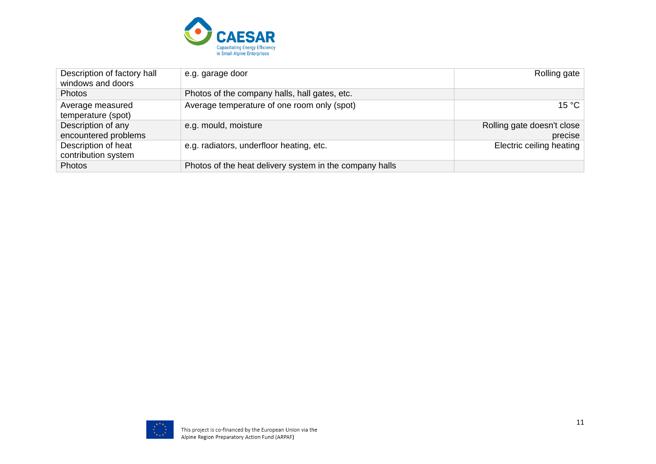

| Description of factory hall<br>windows and doors | e.g. garage door                                        | Rolling gate                          |
|--------------------------------------------------|---------------------------------------------------------|---------------------------------------|
| <b>Photos</b>                                    | Photos of the company halls, hall gates, etc.           |                                       |
| Average measured<br>temperature (spot)           | Average temperature of one room only (spot)             | 15 °C                                 |
| Description of any<br>encountered problems       | e.g. mould, moisture                                    | Rolling gate doesn't close<br>precise |
| Description of heat<br>contribution system       | e.g. radiators, underfloor heating, etc.                | Electric ceiling heating              |
| Photos                                           | Photos of the heat delivery system in the company halls |                                       |

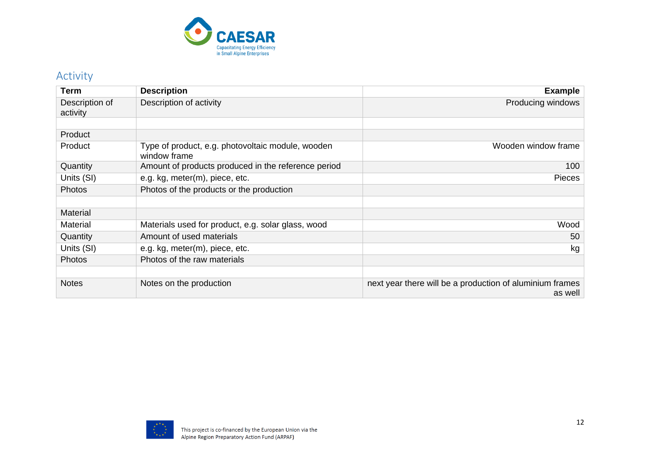

#### Activity

<span id="page-11-0"></span>

| <b>Term</b>                | <b>Description</b>                                                | <b>Example</b>                                                      |
|----------------------------|-------------------------------------------------------------------|---------------------------------------------------------------------|
| Description of<br>activity | Description of activity                                           | Producing windows                                                   |
|                            |                                                                   |                                                                     |
| Product                    |                                                                   |                                                                     |
| Product                    | Type of product, e.g. photovoltaic module, wooden<br>window frame | Wooden window frame                                                 |
| Quantity                   | Amount of products produced in the reference period               | 100                                                                 |
| Units (SI)                 | e.g. kg, meter(m), piece, etc.                                    | Pieces                                                              |
| Photos                     | Photos of the products or the production                          |                                                                     |
|                            |                                                                   |                                                                     |
| Material                   |                                                                   |                                                                     |
| Material                   | Materials used for product, e.g. solar glass, wood                | Wood                                                                |
| Quantity                   | Amount of used materials                                          | 50                                                                  |
| Units (SI)                 | e.g. kg, meter(m), piece, etc.                                    | kg                                                                  |
| <b>Photos</b>              | Photos of the raw materials                                       |                                                                     |
|                            |                                                                   |                                                                     |
| <b>Notes</b>               | Notes on the production                                           | next year there will be a production of aluminium frames<br>as well |

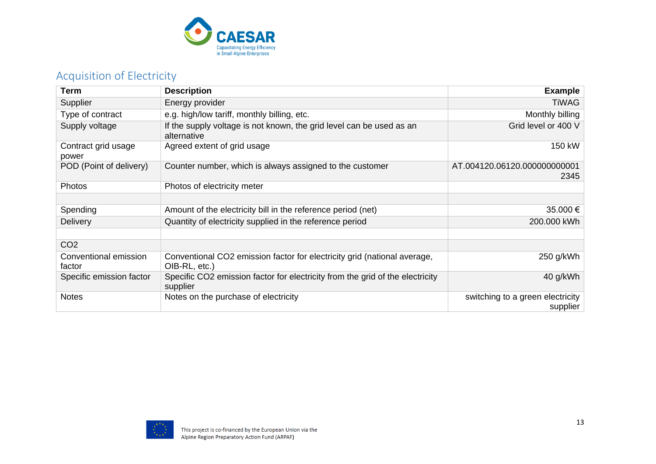

### Acquisition of Electricity

<span id="page-12-0"></span>

| <b>Term</b>                     | <b>Description</b>                                                                        | <b>Example</b>                               |
|---------------------------------|-------------------------------------------------------------------------------------------|----------------------------------------------|
| Supplier                        | Energy provider                                                                           | <b>TiWAG</b>                                 |
| Type of contract                | e.g. high/low tariff, monthly billing, etc.                                               | Monthly billing                              |
| Supply voltage                  | If the supply voltage is not known, the grid level can be used as an<br>alternative       | Grid level or 400 V                          |
| Contract grid usage<br>power    | Agreed extent of grid usage                                                               | 150 kW                                       |
| POD (Point of delivery)         | Counter number, which is always assigned to the customer                                  | AT.004120.06120.000000000001<br>2345         |
| Photos                          | Photos of electricity meter                                                               |                                              |
|                                 |                                                                                           |                                              |
| Spending                        | Amount of the electricity bill in the reference period (net)                              | 35.000 €                                     |
| <b>Delivery</b>                 | Quantity of electricity supplied in the reference period                                  | 200.000 kWh                                  |
|                                 |                                                                                           |                                              |
| CO <sub>2</sub>                 |                                                                                           |                                              |
| Conventional emission<br>factor | Conventional CO2 emission factor for electricity grid (national average,<br>OIB-RL, etc.) | 250 g/kWh                                    |
| Specific emission factor        | Specific CO2 emission factor for electricity from the grid of the electricity<br>supplier | 40 g/kWh                                     |
| <b>Notes</b>                    | Notes on the purchase of electricity                                                      | switching to a green electricity<br>supplier |

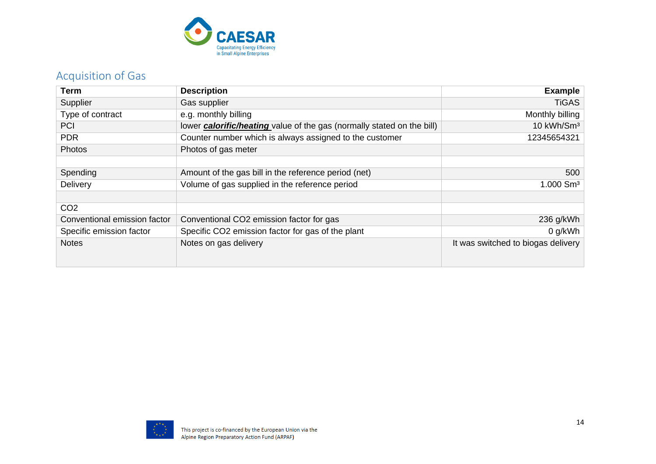

### Acquisition of Gas

<span id="page-13-0"></span>

| Term                         | <b>Description</b>                                                            | <b>Example</b>                     |
|------------------------------|-------------------------------------------------------------------------------|------------------------------------|
| Supplier                     | Gas supplier                                                                  | <b>TiGAS</b>                       |
| Type of contract             | e.g. monthly billing                                                          | Monthly billing                    |
| <b>PCI</b>                   | lower <b>calorific/heating</b> value of the gas (normally stated on the bill) | 10 kWh/Sm <sup>3</sup>             |
| <b>PDR</b>                   | Counter number which is always assigned to the customer                       | 12345654321                        |
| Photos                       | Photos of gas meter                                                           |                                    |
|                              |                                                                               |                                    |
| Spending                     | Amount of the gas bill in the reference period (net)                          | 500                                |
| Delivery                     | Volume of gas supplied in the reference period                                | 1.000 Sm <sup>3</sup>              |
|                              |                                                                               |                                    |
| CO <sub>2</sub>              |                                                                               |                                    |
| Conventional emission factor | Conventional CO2 emission factor for gas                                      | 236 g/kWh                          |
| Specific emission factor     | Specific CO2 emission factor for gas of the plant                             | $0$ g/kWh                          |
| <b>Notes</b>                 | Notes on gas delivery                                                         | It was switched to biogas delivery |
|                              |                                                                               |                                    |
|                              |                                                                               |                                    |

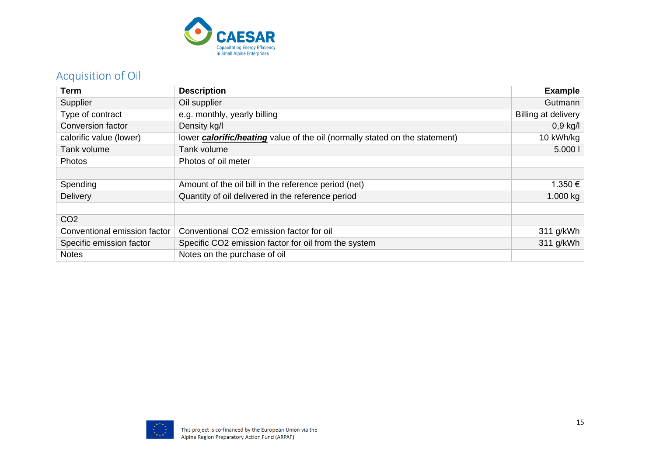

### Acquisition of Oil

<span id="page-14-0"></span>

| <b>Term</b>                  | <b>Description</b>                                                                 | <b>Example</b>      |
|------------------------------|------------------------------------------------------------------------------------|---------------------|
| Supplier                     | Oil supplier                                                                       | Gutmann             |
| Type of contract             | e.g. monthly, yearly billing                                                       | Billing at delivery |
| Conversion factor            | Density kg/l                                                                       | $0,9$ kg/l          |
| calorific value (lower)      | lower <b>calorific/heating</b> value of the oil (normally stated on the statement) | 10 kWh/kg           |
| Tank volume                  | Tank volume                                                                        | 5.0001              |
| Photos                       | Photos of oil meter                                                                |                     |
|                              |                                                                                    |                     |
| Spending                     | Amount of the oil bill in the reference period (net)                               | 1.350 €             |
| <b>Delivery</b>              | Quantity of oil delivered in the reference period                                  | 1.000 kg            |
|                              |                                                                                    |                     |
| CO <sub>2</sub>              |                                                                                    |                     |
| Conventional emission factor | Conventional CO2 emission factor for oil                                           | 311 g/kWh           |
| Specific emission factor     | Specific CO2 emission factor for oil from the system                               | 311 g/kWh           |
| <b>Notes</b>                 | Notes on the purchase of oil                                                       |                     |

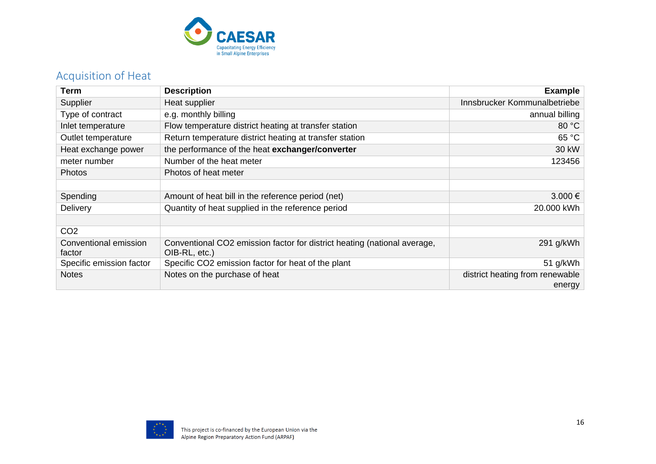

### Acquisition of Heat

<span id="page-15-0"></span>

| Term                            | <b>Description</b>                                                                        | <b>Example</b>                            |
|---------------------------------|-------------------------------------------------------------------------------------------|-------------------------------------------|
| Supplier                        | Heat supplier                                                                             | Innsbrucker Kommunalbetriebe              |
| Type of contract                | e.g. monthly billing                                                                      | annual billing                            |
| Inlet temperature               | Flow temperature district heating at transfer station                                     | 80 °C                                     |
| Outlet temperature              | Return temperature district heating at transfer station                                   | 65 °C                                     |
| Heat exchange power             | the performance of the heat exchanger/converter                                           | 30 kW                                     |
| meter number                    | Number of the heat meter                                                                  | 123456                                    |
| Photos                          | Photos of heat meter                                                                      |                                           |
|                                 |                                                                                           |                                           |
| Spending                        | Amount of heat bill in the reference period (net)                                         | $3.000 \in$                               |
| Delivery                        | Quantity of heat supplied in the reference period                                         | 20.000 kWh                                |
|                                 |                                                                                           |                                           |
| CO <sub>2</sub>                 |                                                                                           |                                           |
| Conventional emission<br>factor | Conventional CO2 emission factor for district heating (national average,<br>OIB-RL, etc.) | 291 g/kWh                                 |
| Specific emission factor        | Specific CO2 emission factor for heat of the plant                                        | 51 g/kWh                                  |
| <b>Notes</b>                    | Notes on the purchase of heat                                                             | district heating from renewable<br>energy |

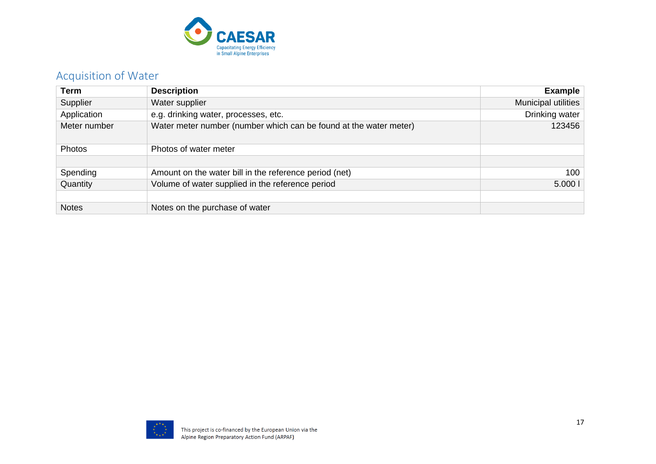

### Acquisition of Water

<span id="page-16-0"></span>

| <b>Term</b>  | <b>Description</b>                                                | <b>Example</b>      |
|--------------|-------------------------------------------------------------------|---------------------|
| Supplier     | Water supplier                                                    | Municipal utilities |
| Application  | e.g. drinking water, processes, etc.                              | Drinking water      |
| Meter number | Water meter number (number which can be found at the water meter) | 123456              |
| Photos       | Photos of water meter                                             |                     |
|              |                                                                   |                     |
| Spending     | Amount on the water bill in the reference period (net)            | 100                 |
| Quantity     | Volume of water supplied in the reference period                  | 5.0001              |
|              |                                                                   |                     |
| <b>Notes</b> | Notes on the purchase of water                                    |                     |

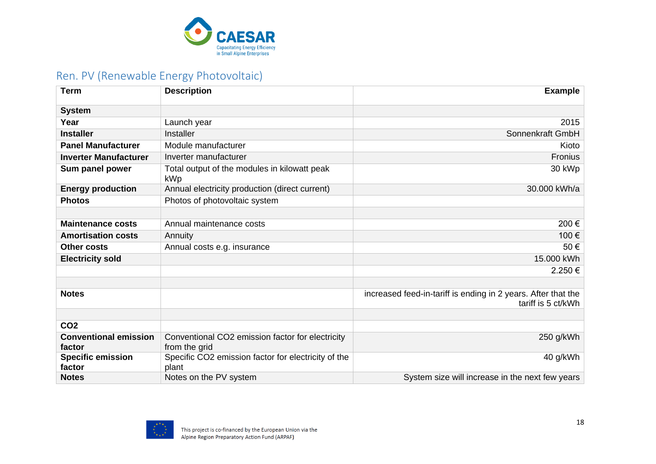

### Ren. PV (Renewable Energy Photovoltaic)

<span id="page-17-0"></span>

| <b>Term</b>                            | <b>Description</b>                                                | <b>Example</b>                                                                      |
|----------------------------------------|-------------------------------------------------------------------|-------------------------------------------------------------------------------------|
| <b>System</b>                          |                                                                   |                                                                                     |
| Year                                   | Launch year                                                       | 2015                                                                                |
| <b>Installer</b>                       | Installer                                                         | Sonnenkraft GmbH                                                                    |
| <b>Panel Manufacturer</b>              | Module manufacturer                                               | Kioto                                                                               |
| <b>Inverter Manufacturer</b>           | Inverter manufacturer                                             | Fronius                                                                             |
| Sum panel power                        | Total output of the modules in kilowatt peak<br>kWp               | 30 kWp                                                                              |
| <b>Energy production</b>               | Annual electricity production (direct current)                    | 30.000 kWh/a                                                                        |
| <b>Photos</b>                          | Photos of photovoltaic system                                     |                                                                                     |
|                                        |                                                                   |                                                                                     |
| <b>Maintenance costs</b>               | Annual maintenance costs                                          | 200€                                                                                |
| <b>Amortisation costs</b>              | Annuity                                                           | 100€                                                                                |
| <b>Other costs</b>                     | Annual costs e.g. insurance                                       | 50€                                                                                 |
| <b>Electricity sold</b>                |                                                                   | 15.000 kWh                                                                          |
|                                        |                                                                   | 2.250€                                                                              |
|                                        |                                                                   |                                                                                     |
| <b>Notes</b>                           |                                                                   | increased feed-in-tariff is ending in 2 years. After that the<br>tariff is 5 ct/kWh |
|                                        |                                                                   |                                                                                     |
| CO <sub>2</sub>                        |                                                                   |                                                                                     |
| <b>Conventional emission</b><br>factor | Conventional CO2 emission factor for electricity<br>from the grid | 250 g/kWh                                                                           |
| <b>Specific emission</b><br>factor     | Specific CO2 emission factor for electricity of the<br>plant      | 40 g/kWh                                                                            |
| <b>Notes</b>                           | Notes on the PV system                                            | System size will increase in the next few years                                     |

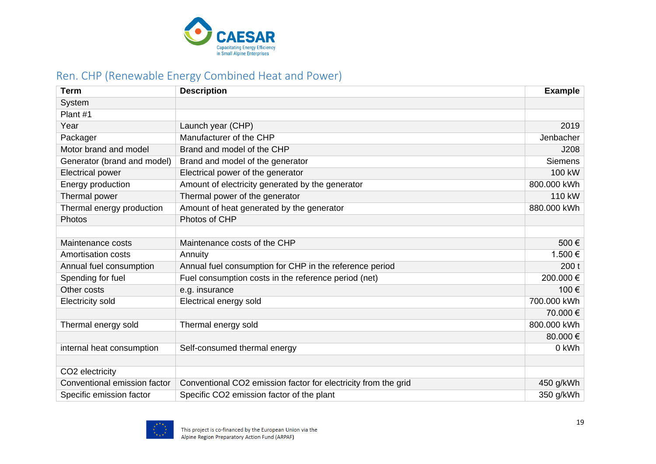

### Ren. CHP (Renewable Energy Combined Heat and Power)

<span id="page-18-0"></span>

| <b>Term</b>                  | <b>Description</b>                                             | <b>Example</b> |
|------------------------------|----------------------------------------------------------------|----------------|
| System                       |                                                                |                |
| Plant #1                     |                                                                |                |
| Year                         | Launch year (CHP)                                              | 2019           |
| Packager                     | Manufacturer of the CHP                                        | Jenbacher      |
| Motor brand and model        | Brand and model of the CHP                                     | J208           |
| Generator (brand and model)  | Brand and model of the generator                               | <b>Siemens</b> |
| <b>Electrical power</b>      | Electrical power of the generator                              | 100 kW         |
| Energy production            | Amount of electricity generated by the generator               | 800.000 kWh    |
| Thermal power                | Thermal power of the generator                                 | 110 kW         |
| Thermal energy production    | Amount of heat generated by the generator                      | 880.000 kWh    |
| Photos                       | Photos of CHP                                                  |                |
|                              |                                                                |                |
| Maintenance costs            | Maintenance costs of the CHP                                   | 500€           |
| <b>Amortisation costs</b>    | Annuity                                                        | 1.500 €        |
| Annual fuel consumption      | Annual fuel consumption for CHP in the reference period        | 200t           |
| Spending for fuel            | Fuel consumption costs in the reference period (net)           | 200.000 €      |
| Other costs                  | e.g. insurance                                                 | 100€           |
| <b>Electricity sold</b>      | Electrical energy sold                                         | 700.000 kWh    |
|                              |                                                                | 70.000 €       |
| Thermal energy sold          | Thermal energy sold                                            | 800.000 kWh    |
|                              |                                                                | 80.000€        |
| internal heat consumption    | Self-consumed thermal energy                                   | 0 kWh          |
|                              |                                                                |                |
| CO2 electricity              |                                                                |                |
| Conventional emission factor | Conventional CO2 emission factor for electricity from the grid | 450 g/kWh      |
| Specific emission factor     | Specific CO2 emission factor of the plant                      | 350 g/kWh      |

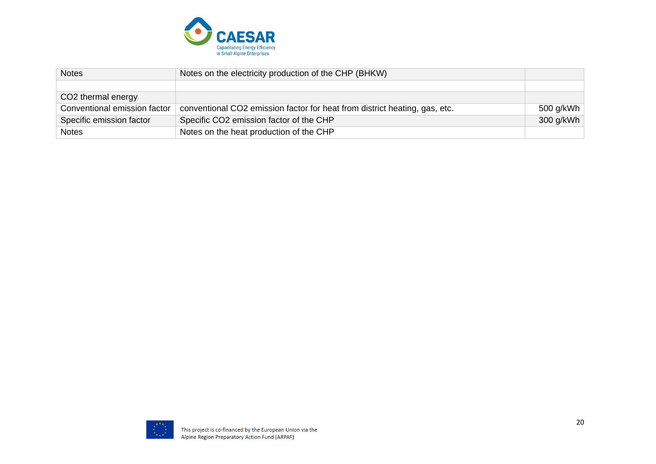

| <b>Notes</b>                 | Notes on the electricity production of the CHP (BHKW)                      |           |
|------------------------------|----------------------------------------------------------------------------|-----------|
|                              |                                                                            |           |
| CO2 thermal energy           |                                                                            |           |
| Conventional emission factor | conventional CO2 emission factor for heat from district heating, gas, etc. | 500 g/kWh |
| Specific emission factor     | Specific CO2 emission factor of the CHP                                    | 300 g/kWh |
| <b>Notes</b>                 | Notes on the heat production of the CHP                                    |           |

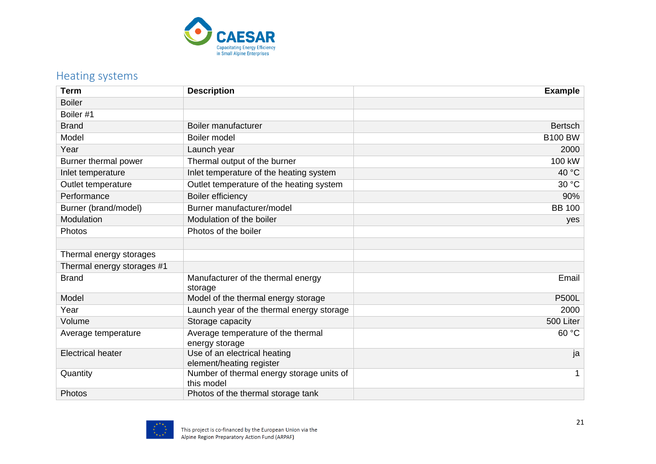

### Heating systems

<span id="page-20-0"></span>

| <b>Term</b>                | <b>Description</b>                                       | <b>Example</b> |
|----------------------------|----------------------------------------------------------|----------------|
| <b>Boiler</b>              |                                                          |                |
| Boiler #1                  |                                                          |                |
| <b>Brand</b>               | Boiler manufacturer                                      | <b>Bertsch</b> |
| Model                      | Boiler model                                             | <b>B100 BW</b> |
| Year                       | Launch year                                              | 2000           |
| Burner thermal power       | Thermal output of the burner                             | 100 kW         |
| Inlet temperature          | Inlet temperature of the heating system                  | 40 °C          |
| Outlet temperature         | Outlet temperature of the heating system                 | 30 °C          |
| Performance                | <b>Boiler efficiency</b>                                 | 90%            |
| Burner (brand/model)       | Burner manufacturer/model                                | <b>BB 100</b>  |
| Modulation                 | Modulation of the boiler                                 | yes            |
| Photos                     | Photos of the boiler                                     |                |
|                            |                                                          |                |
| Thermal energy storages    |                                                          |                |
| Thermal energy storages #1 |                                                          |                |
| <b>Brand</b>               | Manufacturer of the thermal energy                       | Email          |
|                            | storage                                                  |                |
| Model                      | Model of the thermal energy storage                      | <b>P500L</b>   |
| Year                       | Launch year of the thermal energy storage                | 2000           |
| Volume                     | Storage capacity                                         | 500 Liter      |
| Average temperature        | Average temperature of the thermal                       | 60 °C          |
|                            | energy storage                                           |                |
| <b>Electrical heater</b>   | Use of an electrical heating<br>element/heating register | ja             |
| Quantity                   | Number of thermal energy storage units of                | $\mathbf 1$    |
|                            | this model                                               |                |
| Photos                     | Photos of the thermal storage tank                       |                |

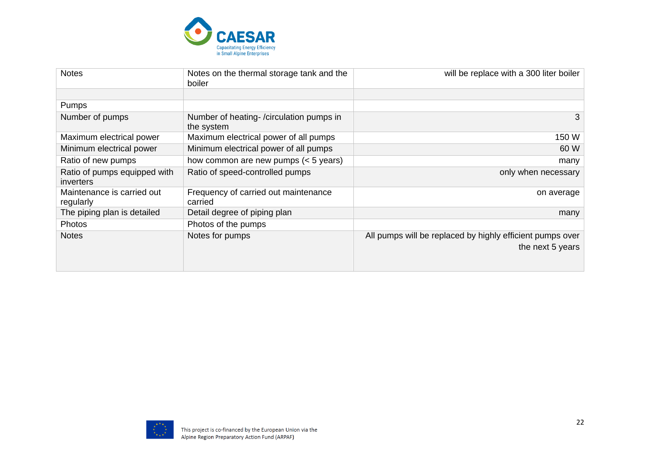

| <b>Notes</b>                              | Notes on the thermal storage tank and the<br>boiler   | will be replace with a 300 liter boiler                                       |
|-------------------------------------------|-------------------------------------------------------|-------------------------------------------------------------------------------|
|                                           |                                                       |                                                                               |
| Pumps                                     |                                                       |                                                                               |
| Number of pumps                           | Number of heating-/circulation pumps in<br>the system |                                                                               |
| Maximum electrical power                  | Maximum electrical power of all pumps                 | 150 W                                                                         |
| Minimum electrical power                  | Minimum electrical power of all pumps                 | 60 W                                                                          |
| Ratio of new pumps                        | how common are new pumps $(< 5$ years)                | many                                                                          |
| Ratio of pumps equipped with<br>inverters | Ratio of speed-controlled pumps                       | only when necessary                                                           |
| Maintenance is carried out<br>regularly   | Frequency of carried out maintenance<br>carried       | on average                                                                    |
| The piping plan is detailed               | Detail degree of piping plan                          | many                                                                          |
| Photos                                    | Photos of the pumps                                   |                                                                               |
| <b>Notes</b>                              | Notes for pumps                                       | All pumps will be replaced by highly efficient pumps over<br>the next 5 years |

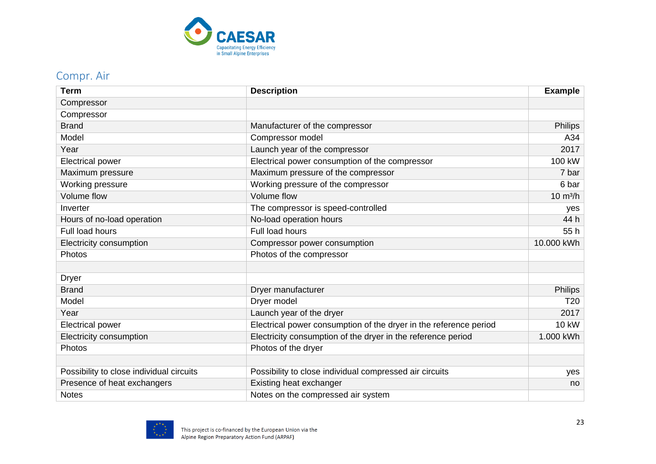

#### Compr. Air

<span id="page-22-0"></span>

| <b>Term</b>                                    | <b>Description</b>                                                | <b>Example</b>     |
|------------------------------------------------|-------------------------------------------------------------------|--------------------|
| Compressor                                     |                                                                   |                    |
| Compressor                                     |                                                                   |                    |
| <b>Brand</b><br>Manufacturer of the compressor |                                                                   | <b>Philips</b>     |
| Model                                          | Compressor model                                                  | A34                |
| Year                                           | Launch year of the compressor                                     | 2017               |
| <b>Electrical power</b>                        | Electrical power consumption of the compressor                    | 100 kW             |
| Maximum pressure                               | Maximum pressure of the compressor                                | 7 bar              |
| Working pressure                               | Working pressure of the compressor                                | 6 bar              |
| <b>Volume flow</b>                             | Volume flow                                                       | $10 \text{ m}^3/h$ |
| Inverter                                       | The compressor is speed-controlled                                | yes                |
| Hours of no-load operation                     | No-load operation hours                                           | 44 h               |
| Full load hours                                | Full load hours                                                   | 55h                |
| Electricity consumption                        | Compressor power consumption                                      | 10.000 kWh         |
| Photos                                         | Photos of the compressor                                          |                    |
|                                                |                                                                   |                    |
| <b>Dryer</b>                                   |                                                                   |                    |
| <b>Brand</b>                                   | Dryer manufacturer                                                | <b>Philips</b>     |
| Model                                          | Dryer model                                                       | T <sub>20</sub>    |
| Year                                           | Launch year of the dryer                                          | 2017               |
| <b>Electrical power</b>                        | Electrical power consumption of the dryer in the reference period | <b>10 kW</b>       |
| Electricity consumption                        | Electricity consumption of the dryer in the reference period      | 1.000 kWh          |
| Photos                                         | Photos of the dryer                                               |                    |
|                                                |                                                                   |                    |
| Possibility to close individual circuits       | Possibility to close individual compressed air circuits           | yes                |
| Presence of heat exchangers                    | Existing heat exchanger                                           | no                 |
| <b>Notes</b>                                   | Notes on the compressed air system                                |                    |

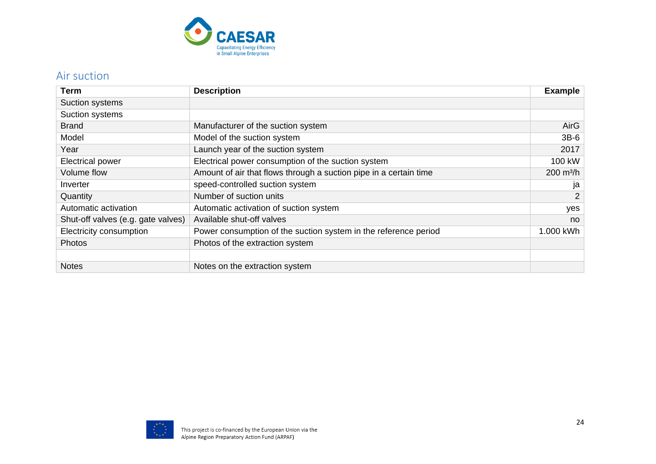

#### Air suction

<span id="page-23-0"></span>

| Term                               | <b>Description</b>                                                | <b>Example</b>      |
|------------------------------------|-------------------------------------------------------------------|---------------------|
| Suction systems                    |                                                                   |                     |
| Suction systems                    |                                                                   |                     |
| <b>Brand</b>                       | Manufacturer of the suction system                                | AirG                |
| Model                              | Model of the suction system                                       | $3B-6$              |
| Year                               | Launch year of the suction system                                 | 2017                |
| <b>Electrical power</b>            | Electrical power consumption of the suction system                | 100 kW              |
| Volume flow                        | Amount of air that flows through a suction pipe in a certain time | $200 \text{ m}^3/h$ |
| Inverter                           | speed-controlled suction system                                   | ja                  |
| Quantity                           | Number of suction units                                           | $\overline{2}$      |
| Automatic activation               | Automatic activation of suction system                            | yes                 |
| Shut-off valves (e.g. gate valves) | Available shut-off valves                                         | no                  |
| Electricity consumption            | Power consumption of the suction system in the reference period   | 1.000 kWh           |
| <b>Photos</b>                      | Photos of the extraction system                                   |                     |
|                                    |                                                                   |                     |
| <b>Notes</b>                       | Notes on the extraction system                                    |                     |

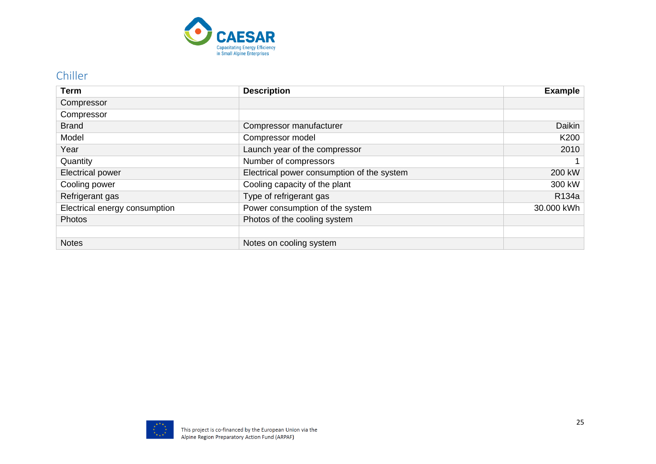

#### Chiller

<span id="page-24-0"></span>

| Term                          | <b>Description</b>                         | <b>Example</b> |
|-------------------------------|--------------------------------------------|----------------|
| Compressor                    |                                            |                |
| Compressor                    |                                            |                |
| <b>Brand</b>                  | Compressor manufacturer                    | Daikin         |
| Model                         | Compressor model                           | K200           |
| Year                          | Launch year of the compressor              | 2010           |
| Quantity                      | Number of compressors                      |                |
| Electrical power              | Electrical power consumption of the system | 200 kW         |
| Cooling power                 | Cooling capacity of the plant              | 300 kW         |
| Refrigerant gas               | Type of refrigerant gas                    | R134a          |
| Electrical energy consumption | Power consumption of the system            | 30.000 kWh     |
| <b>Photos</b>                 | Photos of the cooling system               |                |
|                               |                                            |                |
| <b>Notes</b>                  | Notes on cooling system                    |                |

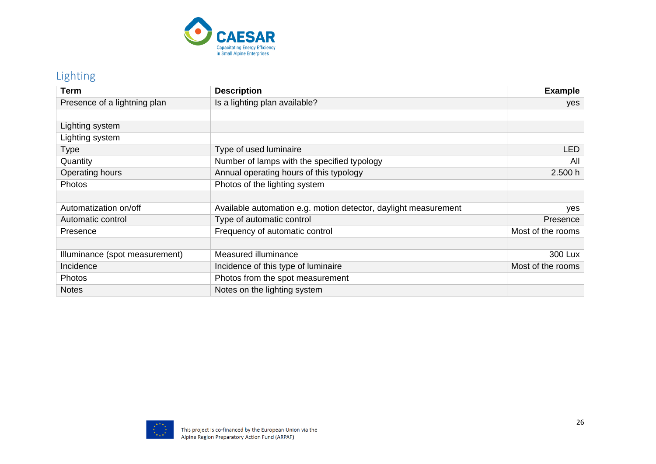

### Lighting

<span id="page-25-0"></span>

| Term                           | <b>Description</b>                                              | <b>Example</b>    |
|--------------------------------|-----------------------------------------------------------------|-------------------|
| Presence of a lightning plan   | Is a lighting plan available?                                   | yes               |
|                                |                                                                 |                   |
| Lighting system                |                                                                 |                   |
| Lighting system                |                                                                 |                   |
| Type                           | Type of used luminaire                                          | <b>LED</b>        |
| Quantity                       | Number of lamps with the specified typology                     | All               |
| Operating hours                | Annual operating hours of this typology                         | 2.500 h           |
| Photos                         | Photos of the lighting system                                   |                   |
|                                |                                                                 |                   |
| Automatization on/off          | Available automation e.g. motion detector, daylight measurement | yes               |
| Automatic control              | Type of automatic control                                       | Presence          |
| Presence                       | Frequency of automatic control                                  | Most of the rooms |
|                                |                                                                 |                   |
| Illuminance (spot measurement) | Measured illuminance                                            | 300 Lux           |
| Incidence                      | Incidence of this type of luminaire                             | Most of the rooms |
| Photos                         | Photos from the spot measurement                                |                   |
| <b>Notes</b>                   | Notes on the lighting system                                    |                   |